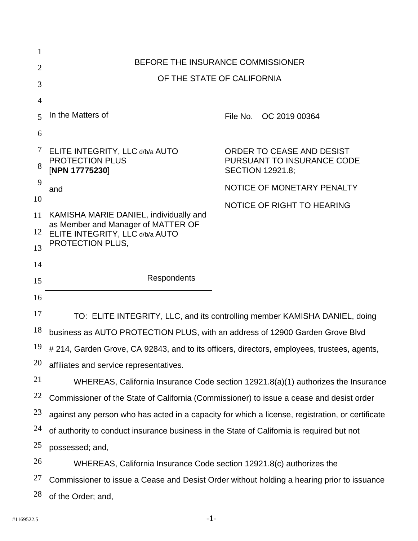| 1              |                                                                                                  |                                                                                             |  |  |
|----------------|--------------------------------------------------------------------------------------------------|---------------------------------------------------------------------------------------------|--|--|
| $\overline{2}$ | BEFORE THE INSURANCE COMMISSIONER                                                                |                                                                                             |  |  |
| 3              | OF THE STATE OF CALIFORNIA                                                                       |                                                                                             |  |  |
| $\overline{4}$ |                                                                                                  |                                                                                             |  |  |
| 5              | In the Matters of                                                                                | File No. OC 2019 00364                                                                      |  |  |
| 6              |                                                                                                  |                                                                                             |  |  |
| 7              | ELITE INTEGRITY, LLC d/b/a AUTO                                                                  | ORDER TO CEASE AND DESIST                                                                   |  |  |
| 8              | PROTECTION PLUS<br>[NPN 17775230]                                                                | PURSUANT TO INSURANCE CODE<br><b>SECTION 12921.8;</b>                                       |  |  |
| 9              | and                                                                                              | NOTICE OF MONETARY PENALTY                                                                  |  |  |
| 10             |                                                                                                  | NOTICE OF RIGHT TO HEARING                                                                  |  |  |
| 11<br>12       | KAMISHA MARIE DANIEL, individually and<br>as Member and Manager of MATTER OF                     |                                                                                             |  |  |
| 13             | ELITE INTEGRITY, LLC d/b/a AUTO<br>PROTECTION PLUS,                                              |                                                                                             |  |  |
| 14             |                                                                                                  |                                                                                             |  |  |
| 15             | Respondents                                                                                      |                                                                                             |  |  |
| 16             |                                                                                                  |                                                                                             |  |  |
| 17             | TO: ELITE INTEGRITY, LLC, and its controlling member KAMISHA DANIEL, doing                       |                                                                                             |  |  |
| 18             | business as AUTO PROTECTION PLUS, with an address of 12900 Garden Grove Blvd                     |                                                                                             |  |  |
| 19             |                                                                                                  | # 214, Garden Grove, CA 92843, and to its officers, directors, employees, trustees, agents, |  |  |
| 20             | affiliates and service representatives.                                                          |                                                                                             |  |  |
| 21             | WHEREAS, California Insurance Code section 12921.8(a)(1) authorizes the Insurance                |                                                                                             |  |  |
| 22             | Commissioner of the State of California (Commissioner) to issue a cease and desist order         |                                                                                             |  |  |
| 23             | against any person who has acted in a capacity for which a license, registration, or certificate |                                                                                             |  |  |
| 24             | of authority to conduct insurance business in the State of California is required but not        |                                                                                             |  |  |
| 25             | possessed; and,                                                                                  |                                                                                             |  |  |
| 26             | WHEREAS, California Insurance Code section 12921.8(c) authorizes the                             |                                                                                             |  |  |
| 27             | Commissioner to issue a Cease and Desist Order without holding a hearing prior to issuance       |                                                                                             |  |  |
| 28             | of the Order; and,                                                                               |                                                                                             |  |  |
| #1169522.5     | $-1-$                                                                                            |                                                                                             |  |  |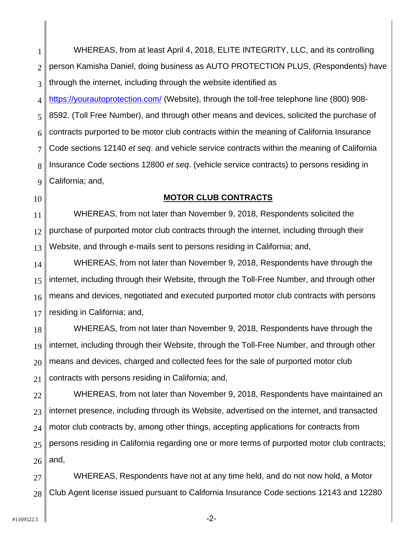1 2 3 4 5 6 7 8  $\mathbf{Q}$ WHEREAS, from at least April 4, 2018, EUTE INTEGRITY, LLC, and its controlling<br>
2 person Kamieha Daniel, doing business as AUTO PROTECTION PLUS, (Respondents) he<br>
1 mitrosulformation Daniel, doing business as AUTO PROTECTI person Kamisha Daniel, doing business as AUTO PROTECTION PLUS, (Respondents) have through the internet, including through the website identified as <https://yourautoprotection.com>/ (Website), through the toll-free telephone line (800) 908- 8592. (Toll Free Number), and through other means and devices, solicited the purchase of contracts purported to be motor club contracts within the meaning of California Insurance Code sections 12140 *et seq*. and vehicle service contracts within the meaning of California Insurance Code sections 12800 *et seq*. (vehicle service contracts) to persons residing in California; and,

**MOTOR CLUB CONTRACTS** 

11 12 13 WHEREAS, from not later than November 9, 2018, Respondents solicited the purchase of purported motor club contracts through the internet, including through their Website, and through e-mails sent to persons residing in California; and,

14 15 16 17 WHEREAS, from not later than November 9, 2018, Respondents have through the internet, including through their Website, through the Toll-Free Number, and through other means and devices, negotiated and executed purported motor club contracts with persons residing in California; and,

18 19 20 21 WHEREAS, from not later than November 9, 2018, Respondents have through the internet, including through their Website, through the Toll-Free Number, and through other means and devices, charged and collected fees for the sale of purported motor club contracts with persons residing in California; and,

22 23 24 25 26 WHEREAS, from not later than November 9, 2018, Respondents have maintained an internet presence, including through its Website, advertised on the internet, and transacted motor club contracts by, among other things, accepting applications for contracts from persons residing in California regarding one or more terms of purported motor club contracts; and,

27 28 WHEREAS, Respondents have not at any time held, and do not now hold, a Motor Club Agent license issued pursuant to California Insurance Code sections 12143 and 12280

10

-2-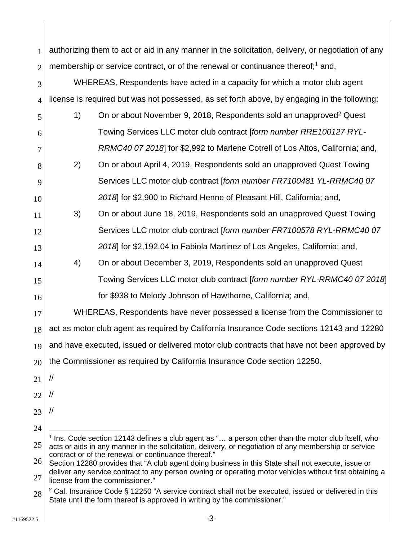| $_1$ authorizing them to act or aid in any manner in the solicitation, delivery, or negotiation of any |
|--------------------------------------------------------------------------------------------------------|
| $_2$    membership or service contract, or of the renewal or continuance thereof: <sup>1</sup> and.    |

WHEREAS, Respondents have acted in a capacity for which a motor club agent license is required but was not possessed, as set forth above, by engaging in the following:

- 5 6 7 1) On or about November 9, 2018, Respondents sold an unapproved<sup>2</sup> Quest Towing Services LLC motor club contract [*form number RRE100127 RYL-*
	- *RRMC40 07 2018*] for \$2,992 to Marlene Cotrell of Los Altos, California; and, 2) On or about April 4, 2019, Respondents sold an unapproved Quest Towing Services LLC motor club contract [*form number FR7100481 YL-RRMC40 07 2018*] for \$2,900 to Richard Henne of Pleasant Hill, California; and,
- 11 12 13 3) On or about June 18, 2019, Respondents sold an unapproved Quest Towing Services LLC motor club contract [*form number FR7100578 RYL-RRMC40 07 2018*] for \$2,192.04 to Fabiola Martinez of Los Angeles, California; and,
- 16 4) On or about December 3, 2019, Respondents sold an unapproved Quest Towing Services LLC motor club contract [*form number RYL*-*RRMC40 07 2018*] for \$938 to Melody Johnson of Hawthorne, California; and,

17 18 19 20 1 authorizing them to act or aid in any manner in the solicitation, delivery, or negotiation of any<br>
2 membership or service contract, or of the femeleval or contrinuons theread; and<br>
4 license is required but was not pos WHEREAS, Respondents have never possessed a license from the Commissioner to act as motor club agent as required by California Insurance Code sections 12143 and 12280 and have executed, issued or delivered motor club contracts that have not been approved by the Commissioner as required by California Insurance Code section 12250.

21 //

3

4

8

 $\mathbf{Q}$ 

10

14

15

- 22 //
- 
- 23 //

<sup>24</sup> 

 $\overline{a}$ contract or of the renewal or continuance thereof." 25 1 Ins. Code section 12143 defines a club agent as "… a person other than the motor club itself, who acts or aids in any manner in the solicitation, delivery, or negotiation of any membership or service

<sup>26</sup>  27 Section 12280 provides that "A club agent doing business in this State shall not execute, issue or deliver any service contract to any person owning or operating motor vehicles without first obtaining a license from the commissioner."

<sup>28</sup>  <sup>2</sup> Cal. Insurance Code § 12250 "A service contract shall not be executed, issued or delivered in this State until the form thereof is approved in writing by the commissioner."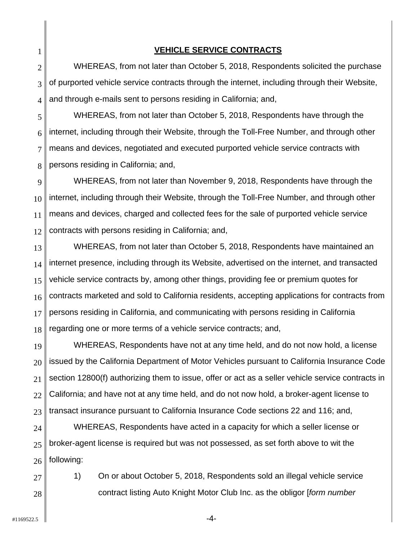2 3 4 WHEREAS, from not later than October 5, 2018, Respondents solicited the purchase of purported vehicle service contracts through the internet, including through their Website, and through e-mails sent to persons residing in California; and,

5 6 7 8 WHEREAS, from not later than October 5, 2018, Respondents have through the internet, including through their Website, through the Toll-Free Number, and through other means and devices, negotiated and executed purported vehicle service contracts with persons residing in California; and,

9 10 11 12 WHEREAS, from not later than November 9, 2018, Respondents have through the internet, including through their Website, through the Toll-Free Number, and through other means and devices, charged and collected fees for the sale of purported vehicle service contracts with persons residing in California; and,

13 14 15 16 17 18 VEHICLE SERVICE CONTRACTS<br>
2<br>
WHEREAS, from not later than October 5, 2018, Respond<br>
4 and through e-mails sent to persons residing in California; and,<br>
4 and through e-mails sent to persons residing in California; and,<br>
W WHEREAS, from not later than October 5, 2018, Respondents have maintained an internet presence, including through its Website, advertised on the internet, and transacted vehicle service contracts by, among other things, providing fee or premium quotes for contracts marketed and sold to California residents, accepting applications for contracts from persons residing in California, and communicating with persons residing in California regarding one or more terms of a vehicle service contracts; and,

19 20 21 22 23 WHEREAS, Respondents have not at any time held, and do not now hold, a license issued by the California Department of Motor Vehicles pursuant to California Insurance Code section 12800(f) authorizing them to issue, offer or act as a seller vehicle service contracts in California; and have not at any time held, and do not now hold, a broker-agent license to transact insurance pursuant to California Insurance Code sections 22 and 116; and,

24 25 26 WHEREAS, Respondents have acted in a capacity for which a seller license or broker-agent license is required but was not possessed, as set forth above to wit the following:

1) On or about October 5, 2018, Respondents sold an illegal vehicle service contract listing Auto Knight Motor Club Inc. as the obligor [*form number* 

27

28

1

-4-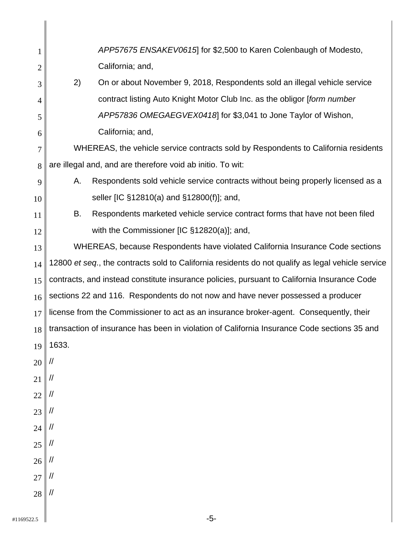| 1              |                                                                                                   | APP57675 ENSAKEV0615 for \$2,500 to Karen Colenbaugh of Modesto,                            |  |
|----------------|---------------------------------------------------------------------------------------------------|---------------------------------------------------------------------------------------------|--|
| $\overline{2}$ |                                                                                                   | California; and,                                                                            |  |
| 3              | 2)                                                                                                | On or about November 9, 2018, Respondents sold an illegal vehicle service                   |  |
| $\overline{4}$ |                                                                                                   | contract listing Auto Knight Motor Club Inc. as the obligor [form number                    |  |
| 5              |                                                                                                   | APP57836 OMEGAEGVEX0418 for \$3,041 to Jone Taylor of Wishon,                               |  |
| 6              |                                                                                                   | California; and,                                                                            |  |
| 7              | WHEREAS, the vehicle service contracts sold by Respondents to California residents                |                                                                                             |  |
| 8              | are illegal and, and are therefore void ab initio. To wit:                                        |                                                                                             |  |
| 9              | А.                                                                                                | Respondents sold vehicle service contracts without being properly licensed as a             |  |
| 10             |                                                                                                   | seller [IC §12810(a) and §12800(f)]; and,                                                   |  |
| 11             | В.                                                                                                | Respondents marketed vehicle service contract forms that have not been filed                |  |
| 12             |                                                                                                   | with the Commissioner $[IC §12820(a)]$ ; and,                                               |  |
| 13             | WHEREAS, because Respondents have violated California Insurance Code sections                     |                                                                                             |  |
| 14             | 12800 et seq., the contracts sold to California residents do not qualify as legal vehicle service |                                                                                             |  |
| 15             | contracts, and instead constitute insurance policies, pursuant to California Insurance Code       |                                                                                             |  |
| 16             | sections 22 and 116. Respondents do not now and have never possessed a producer                   |                                                                                             |  |
| 17             | license from the Commissioner to act as an insurance broker-agent. Consequently, their            |                                                                                             |  |
| 18             |                                                                                                   | transaction of insurance has been in violation of California Insurance Code sections 35 and |  |
| 19             | 1633.                                                                                             |                                                                                             |  |
| 20             |                                                                                                   |                                                                                             |  |
| 21             | //                                                                                                |                                                                                             |  |
| 22             | //                                                                                                |                                                                                             |  |
| 23             | //                                                                                                |                                                                                             |  |
| 24             | $^{\prime\prime}$                                                                                 |                                                                                             |  |
| 25             | //                                                                                                |                                                                                             |  |
| 26             | $\mathcal{U}$                                                                                     |                                                                                             |  |
| 27             | //                                                                                                |                                                                                             |  |
| 28             | $\mathcal{U}$                                                                                     |                                                                                             |  |
| #1169522.5     |                                                                                                   | $-5-$                                                                                       |  |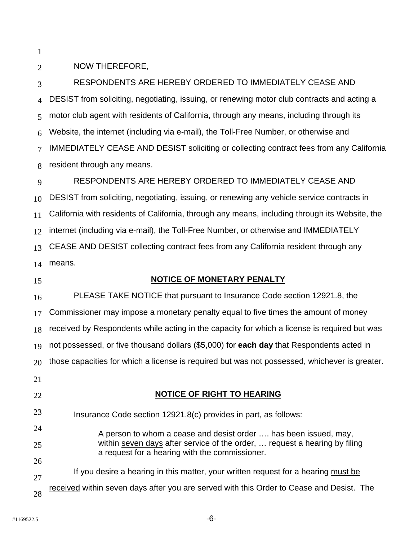RESPONDENTS ARE HEREBY ORDERED TO IMMEDIATELY CEASE AND DESIST from soliciting, negotiating, issuing, or renewing motor club contracts and acting a motor club agent with residents of California, through any means, including through its Website, the internet (including via e-mail), the Toll-Free Number, or otherwise and IMMEDIATELY CEASE AND DESIST soliciting or collecting contract fees from any California resident through any means.

 $\mathbf{Q}$ NOW THEREFORE,<br>
8<br>
RESPONDENTS ARI<br>
4<br>
DESIST from soliciting, nego<br>
motor club agent with reside<br>
6<br>
Website, the internet (includ<br>
7<br>
IMMEDIATELY CEASE ANI<br>
8<br>
resident through any means<br>
RESPONDENTS ARI<br>
DESIST from sol RESPONDENTS ARE HEREBY ORDERED TO IMMEDIATELY CEASE AND DESIST from soliciting, negotiating, issuing, or renewing any vehicle service contracts in California with residents of California, through any means, including through its Website, the internet (including via e-mail), the Toll-Free Number, or otherwise and IMMEDIATELY CEASE AND DESIST collecting contract fees from any California resident through any means.

## **NOTICE OF MONETARY PENALTY**

PLEASE TAKE NOTICE that pursuant to Insurance Code section 12921.8, the Commissioner may impose a monetary penalty equal to five times the amount of money received by Respondents while acting in the capacity for which a license is required but was not possessed, or five thousand dollars (\$5,000) for **each day** that Respondents acted in those capacities for which a license is required but was not possessed, whichever is greater.

## **NOTICE OF RIGHT TO HEARING**

Insurance Code section 12921.8(c) provides in part, as follows:

A person to whom a cease and desist order …. has been issued, may, within seven days after service of the order, … request a hearing by filing a request for a hearing with the commissioner.

If you desire a hearing in this matter, your written request for a hearing must be received within seven days after you are served with this Order to Cease and Desist. The

24

25

26

27

28